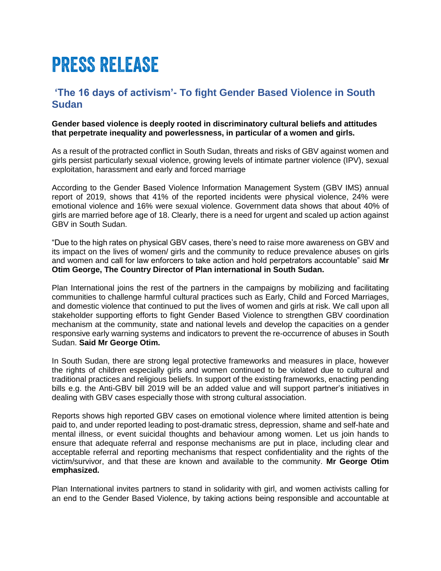# PRESS RELEASE

## **'The 16 days of activism'- To fight Gender Based Violence in South Sudan**

### **Gender based violence is deeply rooted in discriminatory cultural beliefs and attitudes that perpetrate inequality and powerlessness, in particular of a women and girls.**

As a result of the protracted conflict in South Sudan, threats and risks of GBV against women and girls persist particularly sexual violence, growing levels of intimate partner violence (IPV), sexual exploitation, harassment and early and forced marriage

According to the Gender Based Violence Information Management System (GBV IMS) annual report of 2019, shows that 41% of the reported incidents were physical violence, 24% were emotional violence and 16% were sexual violence. Government data shows that about 40% of girls are married before age of 18. Clearly, there is a need for urgent and scaled up action against GBV in South Sudan.

"Due to the high rates on physical GBV cases, there's need to raise more awareness on GBV and its impact on the lives of women/ girls and the community to reduce prevalence abuses on girls and women and call for law enforcers to take action and hold perpetrators accountable" said **Mr Otim George, The Country Director of Plan international in South Sudan.**

Plan International joins the rest of the partners in the campaigns by mobilizing and facilitating communities to challenge harmful cultural practices such as Early, Child and Forced Marriages, and domestic violence that continued to put the lives of women and girls at risk. We call upon all stakeholder supporting efforts to fight Gender Based Violence to strengthen GBV coordination mechanism at the community, state and national levels and develop the capacities on a gender responsive early warning systems and indicators to prevent the re-occurrence of abuses in South Sudan. **Said Mr George Otim.**

In South Sudan, there are strong legal protective frameworks and measures in place, however the rights of children especially girls and women continued to be violated due to cultural and traditional practices and religious beliefs. In support of the existing frameworks, enacting pending bills e.g. the Anti-GBV bill 2019 will be an added value and will support partner's initiatives in dealing with GBV cases especially those with strong cultural association.

Reports shows high reported GBV cases on emotional violence where limited attention is being paid to, and under reported leading to post-dramatic stress, depression, shame and self-hate and mental illness, or event suicidal thoughts and behaviour among women. Let us join hands to ensure that adequate referral and response mechanisms are put in place, including clear and acceptable referral and reporting mechanisms that respect confidentiality and the rights of the victim/survivor, and that these are known and available to the community. **Mr George Otim emphasized.**

Plan International invites partners to stand in solidarity with girl, and women activists calling for an end to the Gender Based Violence, by taking actions being responsible and accountable at